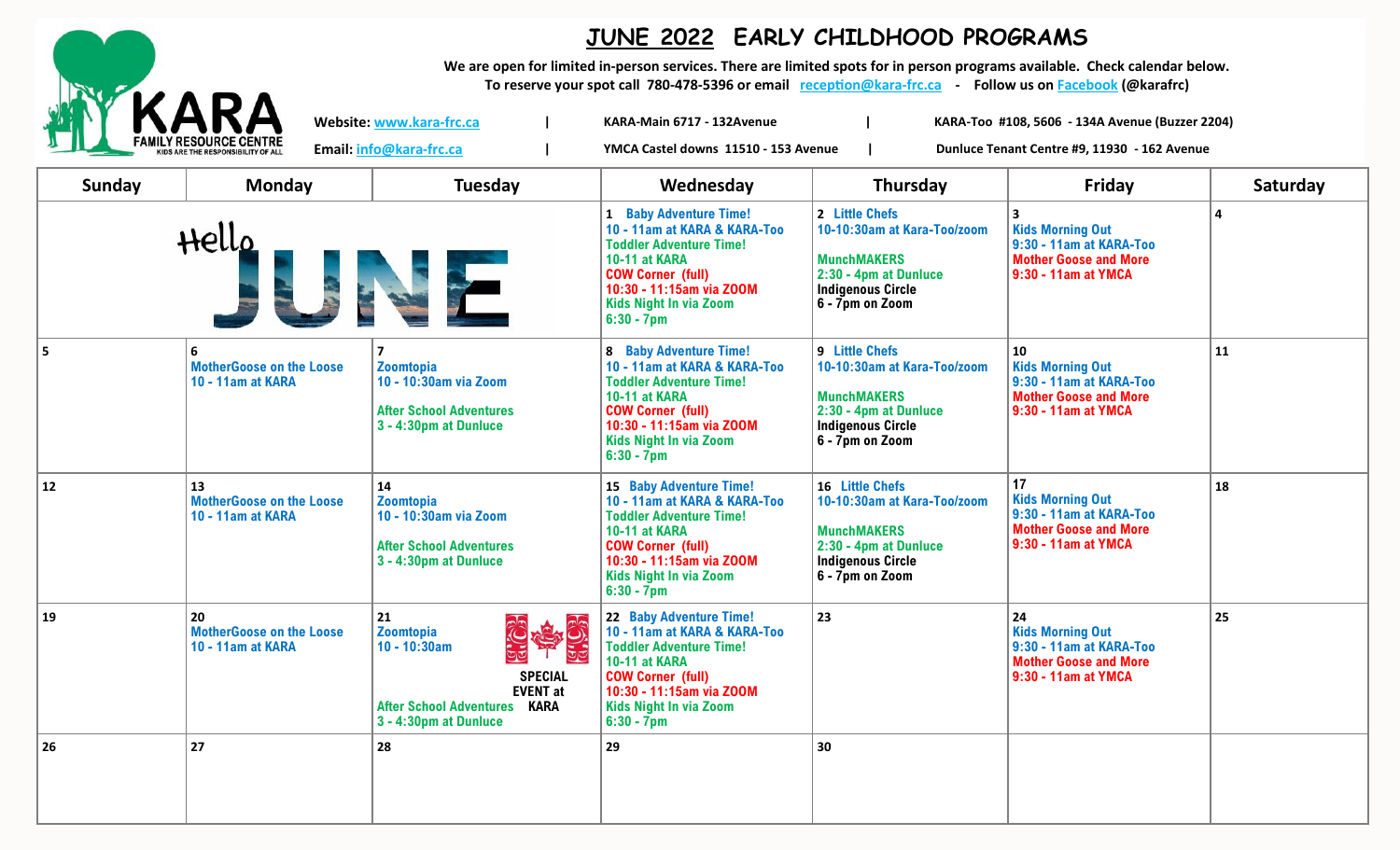

## **JUNE 2022 EARLY CHILDHOOD PROGRAMS**

**We are open for limited in-person services. There are limited spots for in person programs available. Check calendar below.** 

**To reserve your spot call 780-478-5396 or email [reception@kara](mailto:reception@kara-frc.ca)-frc.ca - Follow us on [Facebook](https://www.facebook.com/karafrc/) (@karafrc)**

**Email: info@kara-frc.ca | YMCA Castel downs 11510 - 153 Avenue | Dunluce Tenant Centre #9, 11930 - 162 Avenue** 

**Website: www.kara-frc.ca | KARA-Main 6717 - 132Avenue | KARA-Too #108, 5606 - 134A Avenue (Buzzer 2204)**

| Sunday | <b>Monday</b>                                              | <b>Tuesday</b>                                                                                                                                         | Wednesday                                                                                                                                                                                                                          | Thursday                                                                                                                                     | Friday                                                                                                                 | Saturday |
|--------|------------------------------------------------------------|--------------------------------------------------------------------------------------------------------------------------------------------------------|------------------------------------------------------------------------------------------------------------------------------------------------------------------------------------------------------------------------------------|----------------------------------------------------------------------------------------------------------------------------------------------|------------------------------------------------------------------------------------------------------------------------|----------|
|        | Hello                                                      |                                                                                                                                                        | 1 Baby Adventure Time!<br>10 - 11am at KARA & KARA-Too<br><b>Toddler Adventure Time!</b><br>10-11 at KARA<br><b>COW Corner (full)</b><br>10:30 - 11:15am via ZOOM<br><b>Kids Night In via Zoom</b><br>$6:30 - 7$ pm                | 2 Little Chefs<br>10-10:30am at Kara-Too/zoom<br><b>MunchMAKERS</b><br>2:30 - 4pm at Dunluce<br><b>Indigenous Circle</b><br>6 - 7pm on Zoom  | 3<br><b>Kids Morning Out</b><br>9:30 - 11am at KARA-Too<br><b>Mother Goose and More</b><br>9:30 - 11am at YMCA         | Δ        |
|        | 6<br><b>MotherGoose on the Loose</b><br>10 - 11am at KARA  | Zoomtopia<br>10 - 10:30am via Zoom<br><b>After School Adventures</b><br>3 - 4:30pm at Dunluce                                                          | <b>8 Baby Adventure Time!</b><br>10 - 11am at KARA & KARA-Too<br><b>Toddler Adventure Time!</b><br><b>10-11 at KARA</b><br><b>COW Corner (full)</b><br>10:30 - 11:15am via ZOOM<br><b>Kids Night In via Zoom</b><br>$6:30 - 7$ pm  | 9 Little Chefs<br>10-10:30am at Kara-Too/zoom<br><b>MunchMAKERS</b><br>2:30 - 4pm at Dunluce<br><b>Indigenous Circle</b><br>6 - 7pm on Zoom  | <b>10</b><br><b>Kids Morning Out</b><br>9:30 - 11am at KARA-Too<br><b>Mother Goose and More</b><br>9:30 - 11am at YMCA | 11       |
| 12     | 13<br><b>MotherGoose on the Loose</b><br>10 - 11am at KARA | 14<br><b>Zoomtopia</b><br>10 - 10:30am via Zoom<br><b>After School Adventures</b><br>3 - 4:30pm at Dunluce                                             | <b>15 Baby Adventure Time!</b><br>10 - 11am at KARA & KARA-Too<br><b>Toddler Adventure Time!</b><br>10-11 at KARA<br><b>COW Corner (full)</b><br>10:30 - 11:15am via ZOOM<br><b>Kids Night In via Zoom</b><br>$6:30 - 7$ pm        | 16 Little Chefs<br>10-10:30am at Kara-Too/zoom<br><b>MunchMAKERS</b><br>2:30 - 4pm at Dunluce<br><b>Indigenous Circle</b><br>6 - 7pm on Zoom | 17<br><b>Kids Morning Out</b><br>9:30 - 11am at KARA-Too<br><b>Mother Goose and More</b><br>9:30 - 11am at YMCA        | 18       |
| 19     | 20<br><b>MotherGoose on the Loose</b><br>10 - 11am at KARA | 21<br>中央<br>Zoomtopia<br>$10 - 10:30am$<br><b>SPECIAL</b><br><b>EVENT</b> at<br><b>After School Adventures</b><br><b>KARA</b><br>3 - 4:30pm at Dunluce | <b>22 Baby Adventure Time!</b><br>10 - 11am at KARA & KARA-Too<br><b>Toddler Adventure Time!</b><br><b>10-11 at KARA</b><br><b>COW Corner (full)</b><br>10:30 - 11:15am via ZOOM<br><b>Kids Night In via Zoom</b><br>$6:30 - 7$ pm | 23                                                                                                                                           | 24<br><b>Kids Morning Out</b><br>9:30 - 11am at KARA-Too<br><b>Mother Goose and More</b><br>9:30 - 11am at YMCA        | 25       |
| 26     | 27                                                         | 28                                                                                                                                                     | 29                                                                                                                                                                                                                                 | 30                                                                                                                                           |                                                                                                                        |          |